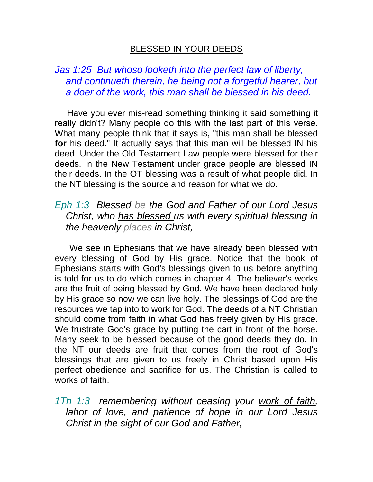## BLESSED IN YOUR DEEDS

## *Jas 1:25 But whoso looketh into the perfect law of liberty, and continueth therein, he being not a forgetful hearer, but a doer of the work, this man shall be blessed in his deed.*

 Have you ever mis-read something thinking it said something it really didn't? Many people do this with the last part of this verse. What many people think that it says is, "this man shall be blessed **for** his deed." It actually says that this man will be blessed IN his deed. Under the Old Testament Law people were blessed for their deeds. In the New Testament under grace people are blessed IN their deeds. In the OT blessing was a result of what people did. In the NT blessing is the source and reason for what we do.

## *Eph 1:3 Blessed be the God and Father of our Lord Jesus Christ, who has blessed us with every spiritual blessing in the heavenly places in Christ,*

We see in Ephesians that we have already been blessed with every blessing of God by His grace. Notice that the book of Ephesians starts with God's blessings given to us before anything is told for us to do which comes in chapter 4. The believer's works are the fruit of being blessed by God. We have been declared holy by His grace so now we can live holy. The blessings of God are the resources we tap into to work for God. The deeds of a NT Christian should come from faith in what God has freely given by His grace. We frustrate God's grace by putting the cart in front of the horse. Many seek to be blessed because of the good deeds they do. In the NT our deeds are fruit that comes from the root of God's blessings that are given to us freely in Christ based upon His perfect obedience and sacrifice for us. The Christian is called to works of faith.

*1Th 1:3 remembering without ceasing your work of faith, labor of love, and patience of hope in our Lord Jesus Christ in the sight of our God and Father,*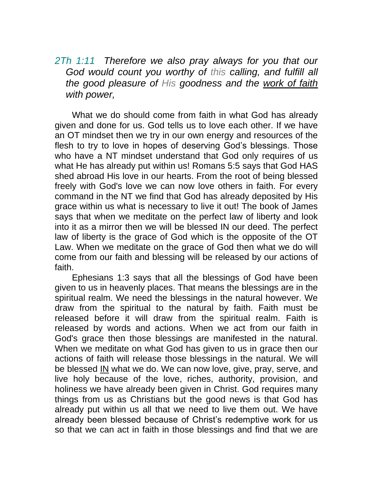*2Th 1:11 Therefore we also pray always for you that our God would count you worthy of this calling, and fulfill all the good pleasure of His goodness and the work of faith with power,* 

 What we do should come from faith in what God has already given and done for us. God tells us to love each other. If we have an OT mindset then we try in our own energy and resources of the flesh to try to love in hopes of deserving God's blessings. Those who have a NT mindset understand that God only requires of us what He has already put within us! Romans 5:5 says that God HAS shed abroad His love in our hearts. From the root of being blessed freely with God's love we can now love others in faith. For every command in the NT we find that God has already deposited by His grace within us what is necessary to live it out! The book of James says that when we meditate on the perfect law of liberty and look into it as a mirror then we will be blessed IN our deed. The perfect law of liberty is the grace of God which is the opposite of the OT Law. When we meditate on the grace of God then what we do will come from our faith and blessing will be released by our actions of faith.

 Ephesians 1:3 says that all the blessings of God have been given to us in heavenly places. That means the blessings are in the spiritual realm. We need the blessings in the natural however. We draw from the spiritual to the natural by faith. Faith must be released before it will draw from the spiritual realm. Faith is released by words and actions. When we act from our faith in God's grace then those blessings are manifested in the natural. When we meditate on what God has given to us in grace then our actions of faith will release those blessings in the natural. We will be blessed IN what we do. We can now love, give, pray, serve, and live holy because of the love, riches, authority, provision, and holiness we have already been given in Christ. God requires many things from us as Christians but the good news is that God has already put within us all that we need to live them out. We have already been blessed because of Christ's redemptive work for us so that we can act in faith in those blessings and find that we are